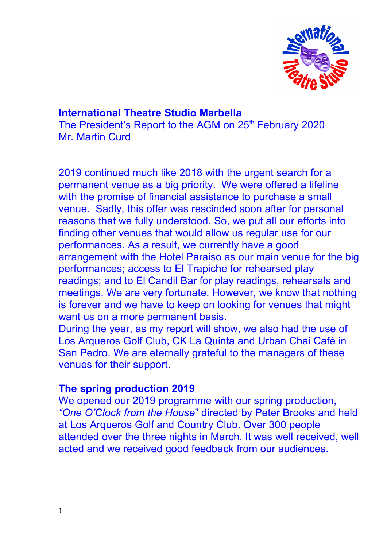

# **International Theatre Studio Marbella** The President's Report to the AGM on 25<sup>th</sup> February 2020 Mr. Martin Curd

2019 continued much like 2018 with the urgent search for a permanent venue as a big priority. We were offered a lifeline with the promise of financial assistance to purchase a small venue. Sadly, this offer was rescinded soon after for personal reasons that we fully understood. So, we put all our efforts into finding other venues that would allow us regular use for our performances. As a result, we currently have a good arrangement with the Hotel Paraiso as our main venue for the big performances; access to El Trapiche for rehearsed play readings; and to El Candil Bar for play readings, rehearsals and meetings. We are very fortunate. However, we know that nothing is forever and we have to keep on looking for venues that might want us on a more permanent basis.

During the year, as my report will show, we also had the use of Los Arqueros Golf Club, CK La Quinta and Urban Chai Café in San Pedro. We are eternally grateful to the managers of these venues for their support.

## **The spring production 2019**

We opened our 2019 programme with our spring production, *"One O'Clock from the House*" directed by Peter Brooks and held at Los Arqueros Golf and Country Club. Over 300 people attended over the three nights in March. It was well received, well acted and we received good feedback from our audiences.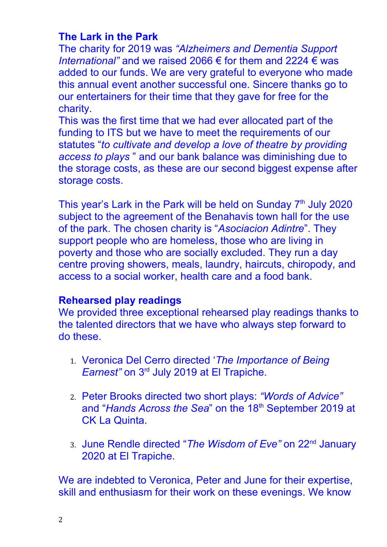# **The Lark in the Park**

The charity for 2019 was *"Alzheimers and Dementia Support International"* and we raised 2066 € for them and 2224 € was added to our funds. We are very grateful to everyone who made this annual event another successful one. Sincere thanks go to our entertainers for their time that they gave for free for the charity.

This was the first time that we had ever allocated part of the funding to ITS but we have to meet the requirements of our statutes "*to cultivate and develop a love of theatre by providing access to plays* " and our bank balance was diminishing due to the storage costs, as these are our second biggest expense after storage costs.

This year's Lark in the Park will be held on Sunday 7<sup>th</sup> July 2020 subject to the agreement of the Benahavis town hall for the use of the park. The chosen charity is "*Asociacion Adintre*". They support people who are homeless, those who are living in poverty and those who are socially excluded. They run a day centre proving showers, meals, laundry, haircuts, chiropody, and access to a social worker, health care and a food bank.

# **Rehearsed play readings**

We provided three exceptional rehearsed play readings thanks to the talented directors that we have who always step forward to do these.

- 1. Veronica Del Cerro directed '*The Importance of Being Earnest"* on 3rd July 2019 at El Trapiche.
- 2. Peter Brooks directed two short plays: *"Words of Advice"* and "*Hands Across the Sea*" on the 18<sup>th</sup> September 2019 at CK La Quinta.
- 3. June Rendle directed "*The Wisdom of Eve"* on 22nd January 2020 at El Trapiche.

We are indebted to Veronica, Peter and June for their expertise, skill and enthusiasm for their work on these evenings. We know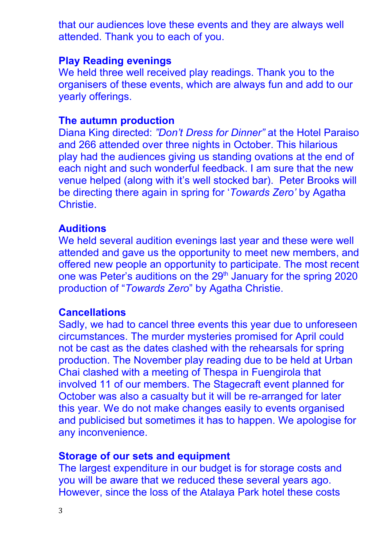that our audiences love these events and they are always well attended. Thank you to each of you.

#### **Play Reading evenings**

We held three well received play readings. Thank you to the organisers of these events, which are always fun and add to our yearly offerings.

### **The autumn production**

Diana King directed: *"Don't Dress for Dinner"* at the Hotel Paraiso and 266 attended over three nights in October. This hilarious play had the audiences giving us standing ovations at the end of each night and such wonderful feedback. I am sure that the new venue helped (along with it's well stocked bar). Peter Brooks will be directing there again in spring for '*Towards Zero'* by Agatha Christie.

### **Auditions**

We held several audition evenings last year and these were well attended and gave us the opportunity to meet new members, and offered new people an opportunity to participate. The most recent one was Peter's auditions on the 29<sup>th</sup> January for the spring 2020 production of "*Towards Zero*" by Agatha Christie.

#### **Cancellations**

Sadly, we had to cancel three events this year due to unforeseen circumstances. The murder mysteries promised for April could not be cast as the dates clashed with the rehearsals for spring production. The November play reading due to be held at Urban Chai clashed with a meeting of Thespa in Fuengirola that involved 11 of our members. The Stagecraft event planned for October was also a casualty but it will be re-arranged for later this year. We do not make changes easily to events organised and publicised but sometimes it has to happen. We apologise for any inconvenience.

#### **Storage of our sets and equipment**

The largest expenditure in our budget is for storage costs and you will be aware that we reduced these several years ago. However, since the loss of the Atalaya Park hotel these costs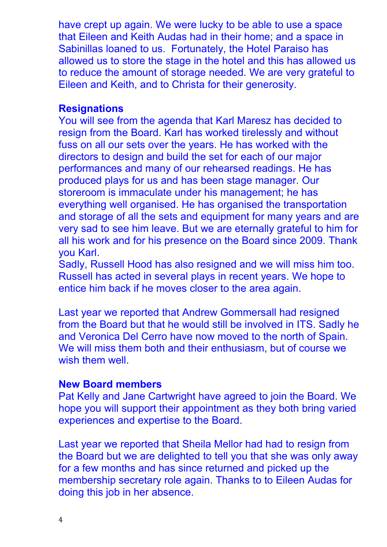have crept up again. We were lucky to be able to use a space that Eileen and Keith Audas had in their home; and a space in Sabinillas loaned to us. Fortunately, the Hotel Paraiso has allowed us to store the stage in the hotel and this has allowed us to reduce the amount of storage needed. We are very grateful to Eileen and Keith, and to Christa for their generosity.

### **Resignations**

You will see from the agenda that Karl Maresz has decided to resign from the Board. Karl has worked tirelessly and without fuss on all our sets over the years. He has worked with the directors to design and build the set for each of our major performances and many of our rehearsed readings. He has produced plays for us and has been stage manager. Our storeroom is immaculate under his management; he has everything well organised. He has organised the transportation and storage of all the sets and equipment for many years and are very sad to see him leave. But we are eternally grateful to him for all his work and for his presence on the Board since 2009. Thank you Karl.

Sadly, Russell Hood has also resigned and we will miss him too. Russell has acted in several plays in recent years. We hope to entice him back if he moves closer to the area again.

Last year we reported that Andrew Gommersall had resigned from the Board but that he would still be involved in ITS. Sadly he and Veronica Del Cerro have now moved to the north of Spain. We will miss them both and their enthusiasm, but of course we wish them well.

## **New Board members**

Pat Kelly and Jane Cartwright have agreed to join the Board. We hope you will support their appointment as they both bring varied experiences and expertise to the Board.

Last year we reported that Sheila Mellor had had to resign from the Board but we are delighted to tell you that she was only away for a few months and has since returned and picked up the membership secretary role again. Thanks to to Eileen Audas for doing this job in her absence.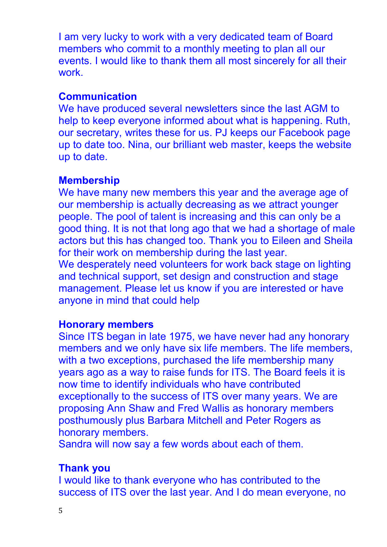I am very lucky to work with a very dedicated team of Board members who commit to a monthly meeting to plan all our events. I would like to thank them all most sincerely for all their work.

# **Communication**

We have produced several newsletters since the last AGM to help to keep everyone informed about what is happening. Ruth, our secretary, writes these for us. PJ keeps our Facebook page up to date too. Nina, our brilliant web master, keeps the website up to date.

## **Membership**

We have many new members this year and the average age of our membership is actually decreasing as we attract younger people. The pool of talent is increasing and this can only be a good thing. It is not that long ago that we had a shortage of male actors but this has changed too. Thank you to Eileen and Sheila for their work on membership during the last year. We desperately need volunteers for work back stage on lighting and technical support, set design and construction and stage management. Please let us know if you are interested or have anyone in mind that could help

## **Honorary members**

Since ITS began in late 1975, we have never had any honorary members and we only have six life members. The life members, with a two exceptions, purchased the life membership many years ago as a way to raise funds for ITS. The Board feels it is now time to identify individuals who have contributed exceptionally to the success of ITS over many years. We are proposing Ann Shaw and Fred Wallis as honorary members posthumously plus Barbara Mitchell and Peter Rogers as honorary members.

Sandra will now say a few words about each of them.

## **Thank you**

I would like to thank everyone who has contributed to the success of ITS over the last year. And I do mean everyone, no